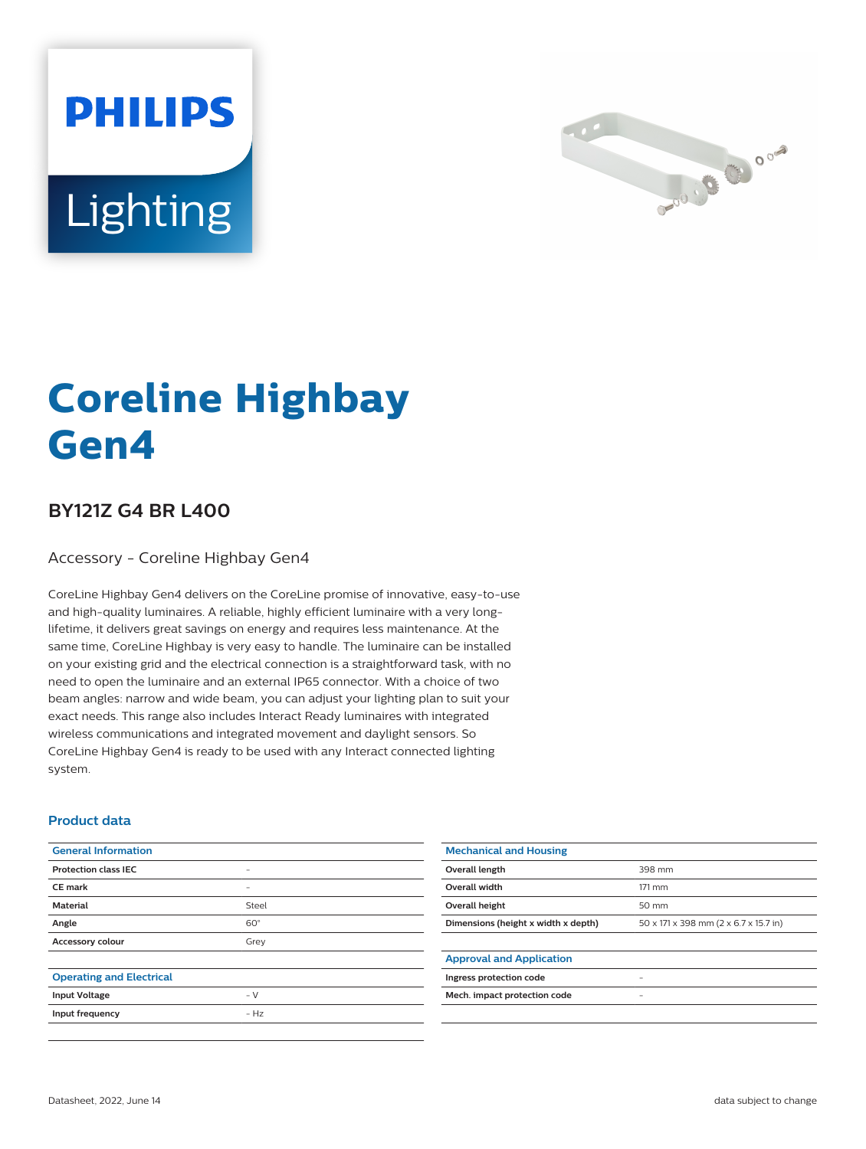



# **Coreline Highbay Gen4**

## **BY121Z G4 BR L400**

Accessory - Coreline Highbay Gen4

CoreLine Highbay Gen4 delivers on the CoreLine promise of innovative, easy-to-use and high-quality luminaires. A reliable, highly efficient luminaire with a very longlifetime, it delivers great savings on energy and requires less maintenance. At the same time, CoreLine Highbay is very easy to handle. The luminaire can be installed on your existing grid and the electrical connection is a straightforward task, with no need to open the luminaire and an external IP65 connector. With a choice of two beam angles: narrow and wide beam, you can adjust your lighting plan to suit your exact needs. This range also includes Interact Ready luminaires with integrated wireless communications and integrated movement and daylight sensors. So CoreLine Highbay Gen4 is ready to be used with any Interact connected lighting system.

#### **Product data**

| <b>General Information</b>      |                          | <b>Mechanical and Housing</b>       |                                       |
|---------------------------------|--------------------------|-------------------------------------|---------------------------------------|
| <b>Protection class IEC</b>     | $\sim$                   | Overall length                      | 398 mm                                |
| <b>CE mark</b>                  | $\overline{\phantom{m}}$ | Overall width                       | 171 mm                                |
| <b>Material</b>                 | Steel                    | Overall height                      | 50 mm                                 |
| Angle                           | $60^\circ$               | Dimensions (height x width x depth) | 50 x 171 x 398 mm (2 x 6.7 x 15.7 in) |
| Accessory colour                | Grey                     |                                     |                                       |
|                                 |                          | <b>Approval and Application</b>     |                                       |
| <b>Operating and Electrical</b> |                          | Ingress protection code             |                                       |
| <b>Input Voltage</b>            | $- V$                    | Mech. impact protection code        | -                                     |
| Input frequency                 | $- Hz$                   |                                     |                                       |
|                                 |                          |                                     |                                       |